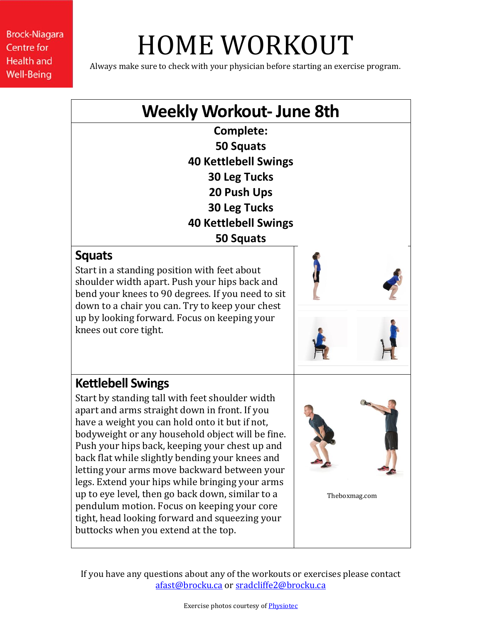# HOME WORKOUT

Always make sure to check with your physician before starting an exercise program.

## **Weekly Workout- June 8th**

**Complete: 50 Squats 40 Kettlebell Swings 30 Leg Tucks 20 Push Ups 30 Leg Tucks 40 Kettlebell Swings 50 Squats**

#### **Squats**

Start in a standing position with feet about shoulder width apart. Push your hips back and bend your knees to 90 degrees. If you need to sit down to a chair you can. Try to keep your chest up by looking forward. Focus on keeping your knees out core tight.



### **Kettlebell Swings**

Start by standing tall with feet shoulder width apart and arms straight down in front. If you have a weight you can hold onto it but if not, bodyweight or any household object will be fine. Push your hips back, keeping your chest up and back flat while slightly bending your knees and letting your arms move backward between your legs. Extend your hips while bringing your arms up to eye level, then go back down, similar to a pendulum motion. Focus on keeping your core tight, head looking forward and squeezing your buttocks when you extend at the top.

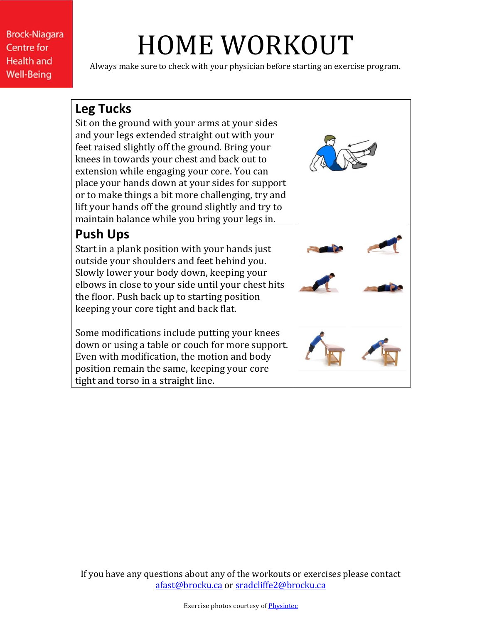# HOME WORKOUT

Always make sure to check with your physician before starting an exercise program.

### **Leg Tucks**

Sit on the ground with your arms at your sides and your legs extended straight out with your feet raised slightly off the ground. Bring your knees in towards your chest and back out to extension while engaging your core. You can place your hands down at your sides for support or to make things a bit more challenging, try and lift your hands off the ground slightly and try to maintain balance while you bring your legs in.

### **Push Ups**

Start in a plank position with your hands just outside your shoulders and feet behind you. Slowly lower your body down, keeping your elbows in close to your side until your chest hits the floor. Push back up to starting position keeping your core tight and back flat.

Some modifications include putting your knees down or using a table or couch for more support. Even with modification, the motion and body position remain the same, keeping your core tight and torso in a straight line.

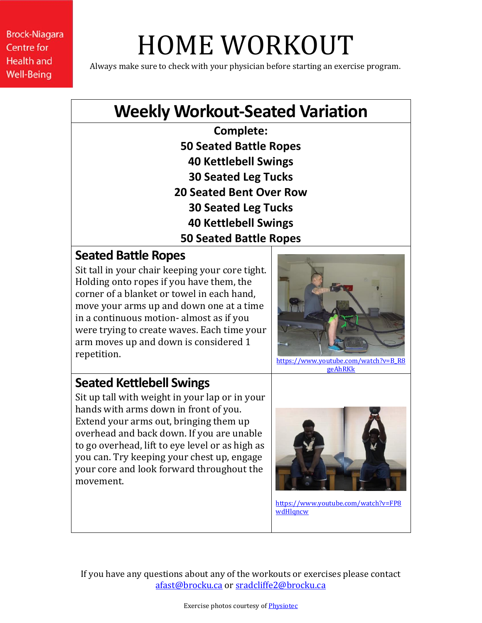# HOME WORKOUT

Always make sure to check with your physician before starting an exercise program.

## **Weekly Workout-Seated Variation**

**Complete: 50 Seated Battle Ropes 40 Kettlebell Swings 30 Seated Leg Tucks 20 Seated Bent Over Row 30 Seated Leg Tucks 40 Kettlebell Swings 50 Seated Battle Ropes**

#### **Seated Battle Ropes**

Sit tall in your chair keeping your core tight. Holding onto ropes if you have them, the corner of a blanket or towel in each hand, move your arms up and down one at a time in a continuous motion- almost as if you were trying to create waves. Each time your arm moves up and down is considered 1 repetition.



[https://www.youtube.com/watch?v=B\\_R8](https://www.youtube.com/watch?v=B_R8geAhRKk) [geAhRKk](https://www.youtube.com/watch?v=B_R8geAhRKk)

### **Seated Kettlebell Swings**

Sit up tall with weight in your lap or in your hands with arms down in front of you. Extend your arms out, bringing them up overhead and back down. If you are unable to go overhead, lift to eye level or as high as you can. Try keeping your chest up, engage your core and look forward throughout the movement.



[https://www.youtube.com/watch?v=FP8](https://www.youtube.com/watch?v=FP8wdHlqncw) [wdHlqncw](https://www.youtube.com/watch?v=FP8wdHlqncw)